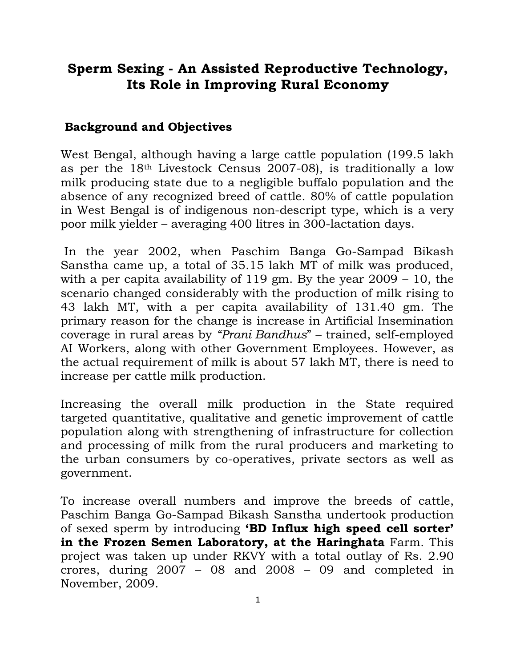## **Sperm Sexing - An Assisted Reproductive Technology, Its Role in Improving Rural Economy**

## **Background and Objectives**

West Bengal, although having a large cattle population (199.5 lakh as per the 18th Livestock Census 2007-08), is traditionally a low milk producing state due to a negligible buffalo population and the absence of any recognized breed of cattle. 80% of cattle population in West Bengal is of indigenous non-descript type, which is a very poor milk yielder – averaging 400 litres in 300-lactation days.

In the year 2002, when Paschim Banga Go-Sampad Bikash Sanstha came up, a total of 35.15 lakh MT of milk was produced, with a per capita availability of 119 gm. By the year 2009 – 10, the scenario changed considerably with the production of milk rising to 43 lakh MT, with a per capita availability of 131.40 gm. The primary reason for the change is increase in Artificial Insemination coverage in rural areas by *"Prani Bandhus*" – trained, self-employed AI Workers, along with other Government Employees. However, as the actual requirement of milk is about 57 lakh MT, there is need to increase per cattle milk production.

Increasing the overall milk production in the State required targeted quantitative, qualitative and genetic improvement of cattle population along with strengthening of infrastructure for collection and processing of milk from the rural producers and marketing to the urban consumers by co-operatives, private sectors as well as government.

To increase overall numbers and improve the breeds of cattle, Paschim Banga Go-Sampad Bikash Sanstha undertook production of sexed sperm by introducing **'BD Influx high speed cell sorter' in the Frozen Semen Laboratory, at the Haringhata** Farm. This project was taken up under RKVY with a total outlay of Rs. 2.90 crores, during 2007 – 08 and 2008 – 09 and completed in November, 2009.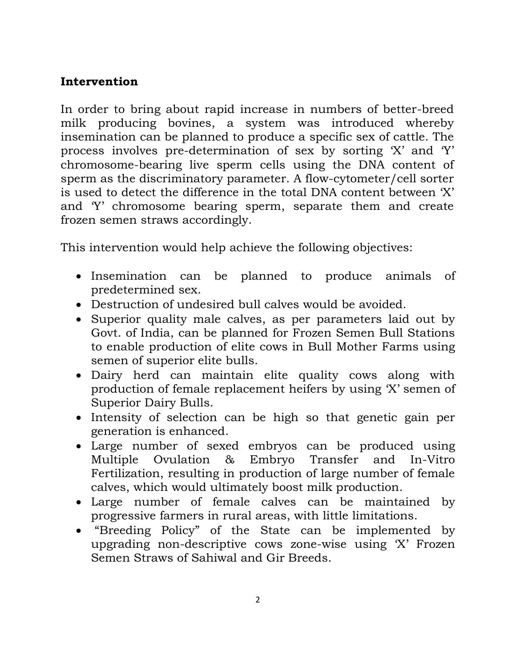## **Intervention**

In order to bring about rapid increase in numbers of better-breed milk producing bovines, a system was introduced whereby insemination can be planned to produce a specific sex of cattle. The process involves pre-determination of sex by sorting "X" and "Y" chromosome-bearing live sperm cells using the DNA content of sperm as the discriminatory parameter. A flow-cytometer/cell sorter is used to detect the difference in the total DNA content between "X" and "Y" chromosome bearing sperm, separate them and create frozen semen straws accordingly.

This intervention would help achieve the following objectives:

- Insemination can be planned to produce animals of predetermined sex.
- Destruction of undesired bull calves would be avoided.
- Superior quality male calves, as per parameters laid out by Govt. of India, can be planned for Frozen Semen Bull Stations to enable production of elite cows in Bull Mother Farms using semen of superior elite bulls.
- Dairy herd can maintain elite quality cows along with production of female replacement heifers by using "X" semen of Superior Dairy Bulls.
- Intensity of selection can be high so that genetic gain per generation is enhanced.
- Large number of sexed embryos can be produced using Multiple Ovulation & Embryo Transfer and In-Vitro Fertilization, resulting in production of large number of female calves, which would ultimately boost milk production.
- Large number of female calves can be maintained by progressive farmers in rural areas, with little limitations.
- "Breeding Policy" of the State can be implemented by upgrading non-descriptive cows zone-wise using "X" Frozen Semen Straws of Sahiwal and Gir Breeds.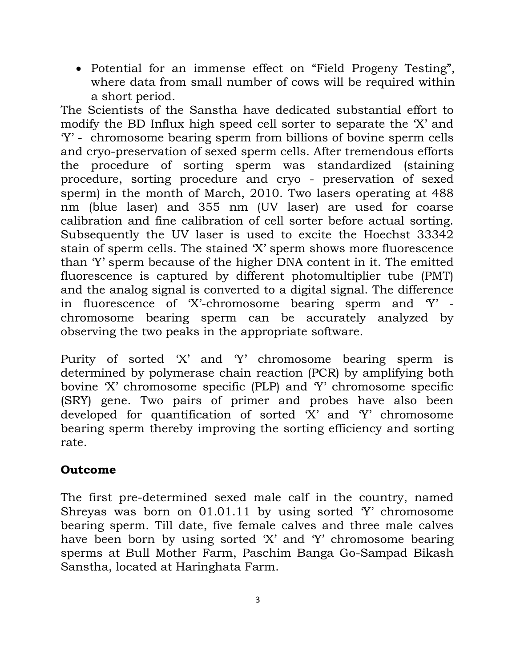Potential for an immense effect on "Field Progeny Testing", where data from small number of cows will be required within a short period.

The Scientists of the Sanstha have dedicated substantial effort to modify the BD Influx high speed cell sorter to separate the "X" and "Y" - chromosome bearing sperm from billions of bovine sperm cells and cryo-preservation of sexed sperm cells. After tremendous efforts the procedure of sorting sperm was standardized (staining procedure, sorting procedure and cryo - preservation of sexed sperm) in the month of March, 2010. Two lasers operating at 488 nm (blue laser) and 355 nm (UV laser) are used for coarse calibration and fine calibration of cell sorter before actual sorting. Subsequently the UV laser is used to excite the Hoechst 33342 stain of sperm cells. The stained "X" sperm shows more fluorescence than "Y" sperm because of the higher DNA content in it. The emitted fluorescence is captured by different photomultiplier tube (PMT) and the analog signal is converted to a digital signal. The difference in fluorescence of 'X'-chromosome bearing sperm and 'Y' chromosome bearing sperm can be accurately analyzed by observing the two peaks in the appropriate software.

Purity of sorted "X" and "Y" chromosome bearing sperm is determined by polymerase chain reaction (PCR) by amplifying both bovine "X" chromosome specific (PLP) and "Y" chromosome specific (SRY) gene. Two pairs of primer and probes have also been developed for quantification of sorted "X" and "Y" chromosome bearing sperm thereby improving the sorting efficiency and sorting rate.

## **Outcome**

The first pre-determined sexed male calf in the country, named Shreyas was born on  $01.01.11$  by using sorted  $Y'$  chromosome bearing sperm. Till date, five female calves and three male calves have been born by using sorted 'X' and 'Y' chromosome bearing sperms at Bull Mother Farm, Paschim Banga Go-Sampad Bikash Sanstha, located at Haringhata Farm.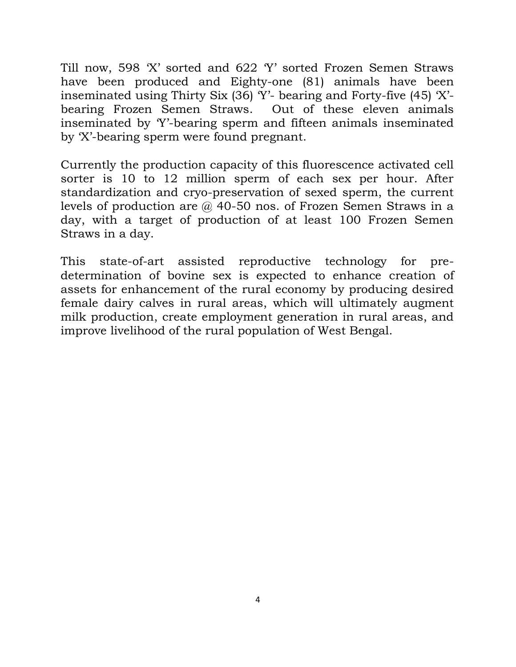Till now, 598 "X" sorted and 622 "Y" sorted Frozen Semen Straws have been produced and Eighty-one (81) animals have been inseminated using Thirty Six  $(36)$  Y'- bearing and Forty-five  $(45)$  'X'bearing Frozen Semen Straws. Out of these eleven animals inseminated by "Y"-bearing sperm and fifteen animals inseminated by "X"-bearing sperm were found pregnant.

Currently the production capacity of this fluorescence activated cell sorter is 10 to 12 million sperm of each sex per hour. After standardization and cryo-preservation of sexed sperm, the current levels of production are @ 40-50 nos. of Frozen Semen Straws in a day, with a target of production of at least 100 Frozen Semen Straws in a day.

This state-of-art assisted reproductive technology for predetermination of bovine sex is expected to enhance creation of assets for enhancement of the rural economy by producing desired female dairy calves in rural areas, which will ultimately augment milk production, create employment generation in rural areas, and improve livelihood of the rural population of West Bengal.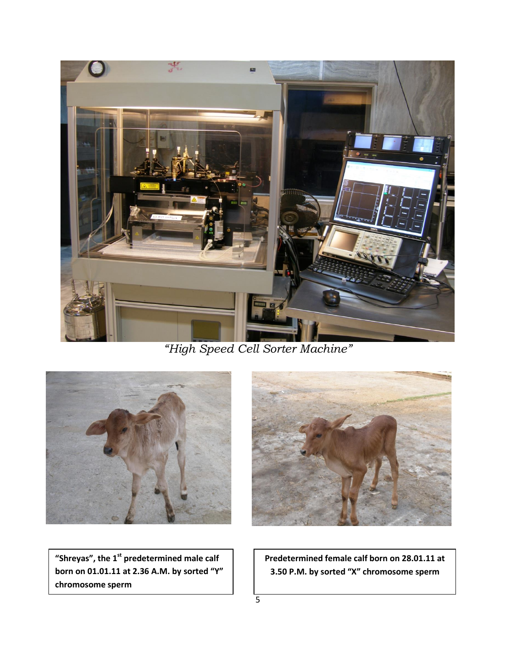

*"High Speed Cell Sorter Machine"*





**"Shreyas", the 1st predetermined male calf born on 01.01.11 at 2.36 A.M. by sorted "Y" chromosome sperm**

 **Predetermined female calf born on 28.01.11 at 3.50 P.M. by sorted "X" chromosome sperm**